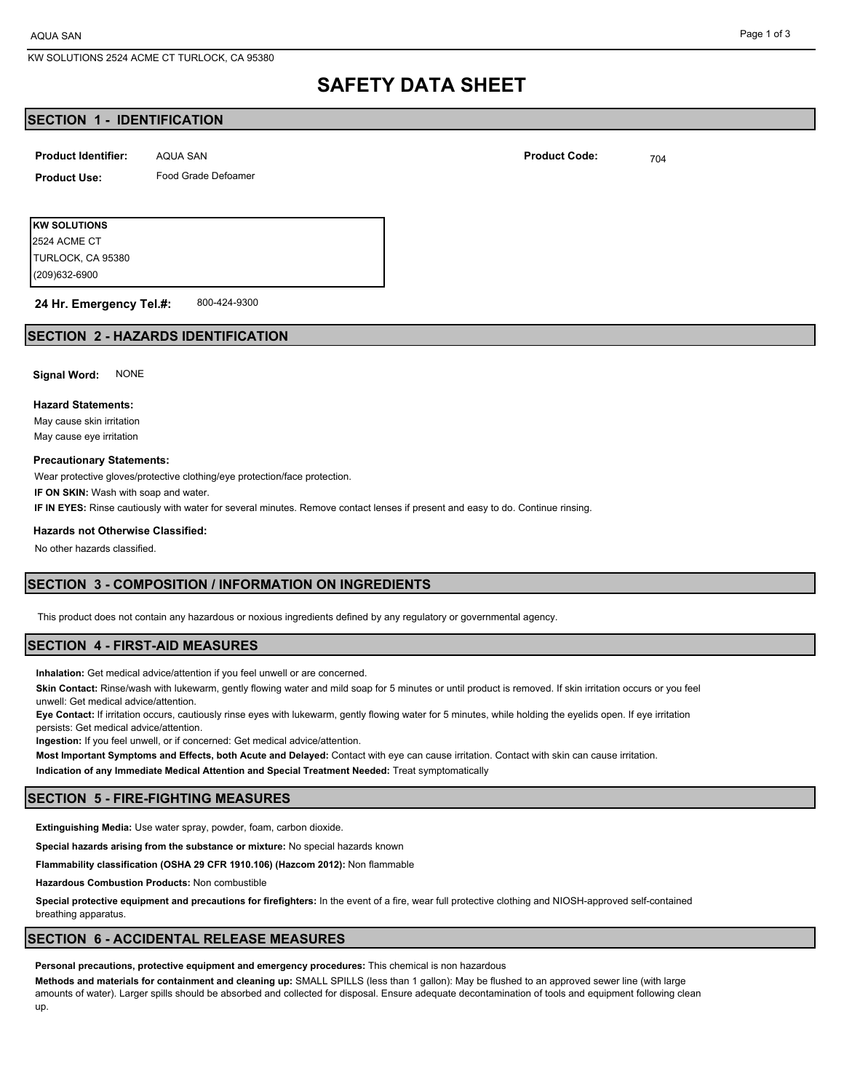### Page 1 of 3

# **SAFETY DATA SHEET**

# **SECTION 1 - IDENTIFICATION**

| <b>Product Identifier:</b> | AQUA SAN            | <b>Product Code:</b> | 704 |
|----------------------------|---------------------|----------------------|-----|
| <b>Product Use:</b>        | Food Grade Defoamer |                      |     |
|                            |                     |                      |     |

**KW SOLUTIONS** (209)632-6900 TURLOCK, CA 95380 2524 ACME CT

800-424-9300 **24 Hr. Emergency Tel.#:**

# **SECTION 2 - HAZARDS IDENTIFICATION**

**Signal Word:** NONE

### **Hazard Statements:**

May cause skin irritation May cause eye irritation

#### **Precautionary Statements:**

Wear protective gloves/protective clothing/eye protection/face protection.

**IF ON SKIN:** Wash with soap and water.

**IF IN EYES:** Rinse cautiously with water for several minutes. Remove contact lenses if present and easy to do. Continue rinsing.

### **Hazards not Otherwise Classified:**

No other hazards classified.

# **SECTION 3 - COMPOSITION / INFORMATION ON INGREDIENTS**

This product does not contain any hazardous or noxious ingredients defined by any regulatory or governmental agency.

## **SECTION 4 - FIRST-AID MEASURES**

**Inhalation:** Get medical advice/attention if you feel unwell or are concerned.

**Skin Contact:** Rinse/wash with lukewarm, gently flowing water and mild soap for 5 minutes or until product is removed. If skin irritation occurs or you feel unwell: Get medical advice/attention.

**Eye Contact:** If irritation occurs, cautiously rinse eyes with lukewarm, gently flowing water for 5 minutes, while holding the eyelids open. If eye irritation persists: Get medical advice/attention.

**Ingestion:** If you feel unwell, or if concerned: Get medical advice/attention.

**Most Important Symptoms and Effects, both Acute and Delayed:** Contact with eye can cause irritation. Contact with skin can cause irritation. **Indication of any Immediate Medical Attention and Special Treatment Needed:** Treat symptomatically

### **SECTION 5 - FIRE-FIGHTING MEASURES**

**Extinguishing Media:** Use water spray, powder, foam, carbon dioxide.

**Special hazards arising from the substance or mixture:** No special hazards known

**Flammability classification (OSHA 29 CFR 1910.106) (Hazcom 2012):** Non flammable

**Hazardous Combustion Products:** Non combustible

**Special protective equipment and precautions for firefighters:** In the event of a fire, wear full protective clothing and NIOSH-approved self-contained breathing apparatus.

## **SECTION 6 - ACCIDENTAL RELEASE MEASURES**

**Personal precautions, protective equipment and emergency procedures:** This chemical is non hazardous

**Methods and materials for containment and cleaning up:** SMALL SPILLS (less than 1 gallon): May be flushed to an approved sewer line (with large amounts of water). Larger spills should be absorbed and collected for disposal. Ensure adequate decontamination of tools and equipment following clean up.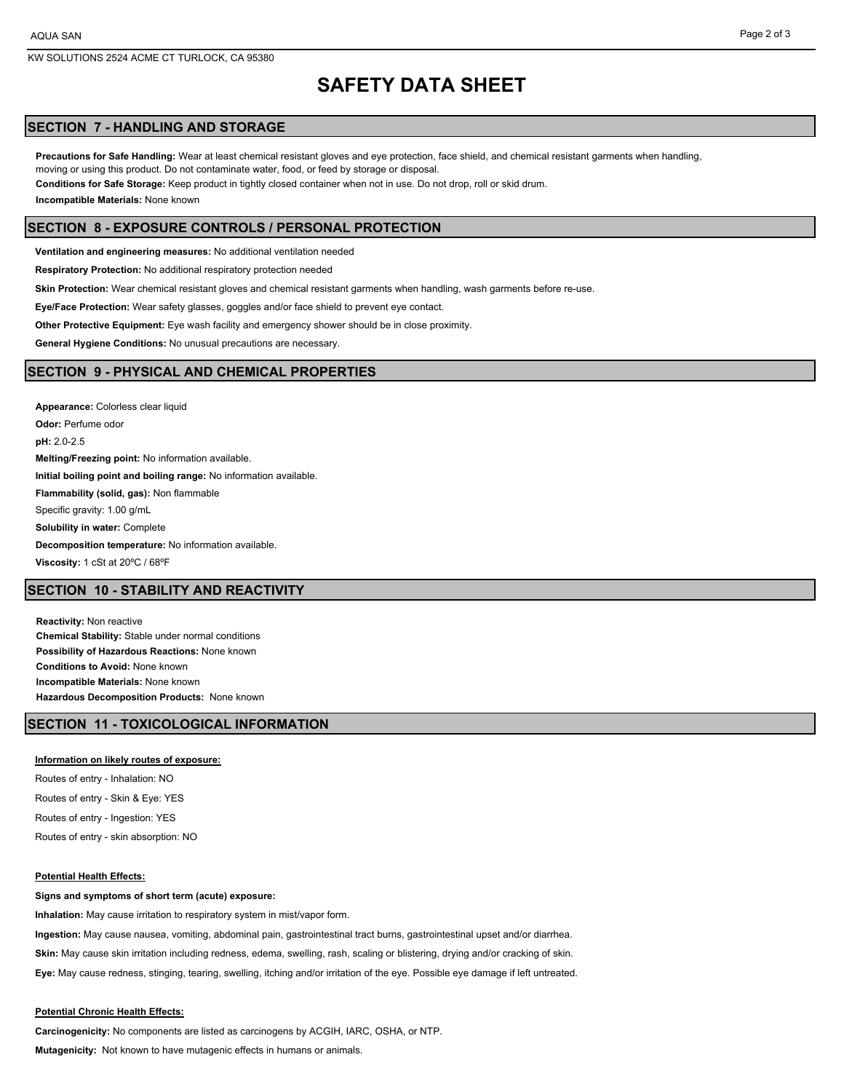### Page 2 of 3

# **SAFETY DATA SHEET**

# **SECTION 7 - HANDLING AND STORAGE**

**Precautions for Safe Handling:** Wear at least chemical resistant gloves and eye protection, face shield, and chemical resistant garments when handling, moving or using this product. Do not contaminate water, food, or feed by storage or disposal.

**Conditions for Safe Storage:** Keep product in tightly closed container when not in use. Do not drop, roll or skid drum.

**Incompatible Materials:** None known

# **SECTION 8 - EXPOSURE CONTROLS / PERSONAL PROTECTION**

**Ventilation and engineering measures:** No additional ventilation needed

**Respiratory Protection:** No additional respiratory protection needed

**Skin Protection:** Wear chemical resistant gloves and chemical resistant garments when handling, wash garments before re-use.

**Eye/Face Protection:** Wear safety glasses, goggles and/or face shield to prevent eye contact.

**Other Protective Equipment:** Eye wash facility and emergency shower should be in close proximity.

**General Hygiene Conditions:** No unusual precautions are necessary.

## **SECTION 9 - PHYSICAL AND CHEMICAL PROPERTIES**

**Appearance:** Colorless clear liquid **Odor:** Perfume odor **pH:** 2.0-2.5 **Melting/Freezing point:** No information available. **Initial boiling point and boiling range:** No information available. **Flammability (solid, gas):** Non flammable Specific gravity: 1.00 g/mL **Solubility in water:** Complete **Decomposition temperature:** No information available. **Viscosity:** 1 cSt at 20ºC / 68ºF

# **SECTION 10 - STABILITY AND REACTIVITY**

**Reactivity:** Non reactive **Chemical Stability:** Stable under normal conditions **Possibility of Hazardous Reactions:** None known **Conditions to Avoid:** None known **Incompatible Materials:** None known **Hazardous Decomposition Products:** None known

# **SECTION 11 - TOXICOLOGICAL INFORMATION**

### **Information on likely routes of exposure:**

Routes of entry - Inhalation: NO Routes of entry - Skin & Eye: YES Routes of entry - Ingestion: YES Routes of entry - skin absorption: NO

### **Potential Health Effects:**

**Signs and symptoms of short term (acute) exposure:**

**Inhalation:** May cause irritation to respiratory system in mist/vapor form.

**Ingestion:** May cause nausea, vomiting, abdominal pain, gastrointestinal tract burns, gastrointestinal upset and/or diarrhea.

**Skin:** May cause skin irritation including redness, edema, swelling, rash, scaling or blistering, drying and/or cracking of skin.

**Eye:** May cause redness, stinging, tearing, swelling, itching and/or irritation of the eye. Possible eye damage if left untreated.

### **Potential Chronic Health Effects:**

**Carcinogenicity:** No components are listed as carcinogens by ACGIH, IARC, OSHA, or NTP.

**Mutagenicity:** Not known to have mutagenic effects in humans or animals.